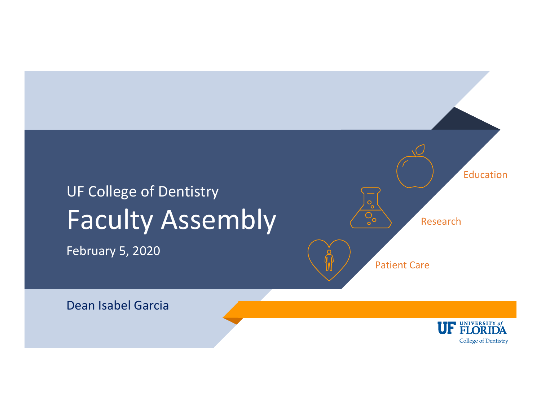# UF College of Dentistry Faculty Assembly

February 5, 2020



Dean Isabel Garcia

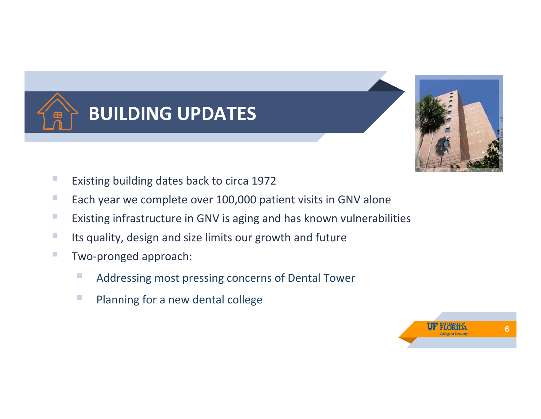



- **Existing building dates back to circa 1972**
- **Each year we complete over 100,000 patient visits in GNV alone**
- **EXisting infrastructure in GNV is aging and has known vulnerabilities**
- **Its quality, design and size limits our growth and future**
- Two-pronged approach:
	- **Addressing most pressing concerns of Dental Tower**
	- **Planning for a new dental college**

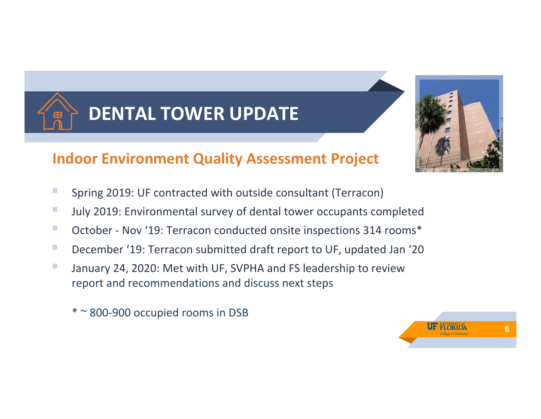



### **Indoor Environment Quality Assessment Project**

- **Spring 2019: UF contracted with outside consultant (Terracon)**
- **July 2019: Environmental survey of dental tower occupants completed**
- October Nov '19: Terracon conducted onsite inspections 314 rooms\*
- December '19: Terracon submitted draft report to UF, updated Jan '20
- **January 24, 2020: Met with UF, SVPHA and FS leadership to review** report and recommendations and discuss next steps
	- \* ~ 800‐900 occupied rooms in DSB

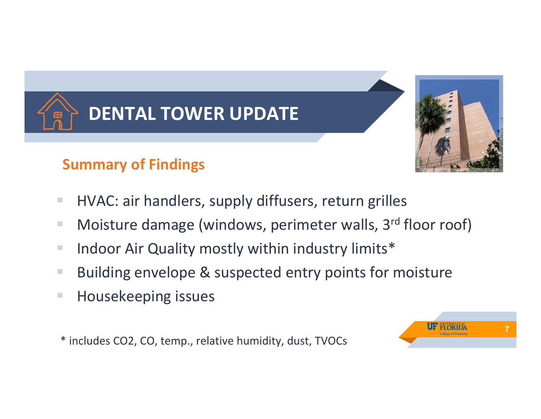



- **HVAC: air handlers, supply diffusers, return grilles**
- **Moisture damage (windows, perimeter walls, 3<sup>rd</sup> floor roof)**
- **Indoor Air Quality mostly within industry limits\***
- **Building envelope & suspected entry points for moisture**
- **Housekeeping issues**

\* includes CO2, CO, temp., relative humidity, dust, TVOCs

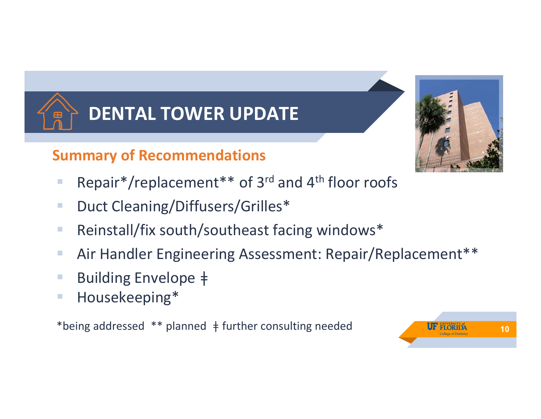

## **Summary of Recommendations**

- Repair\*/replacement\*\* of  $3^{rd}$  and  $4^{th}$  floor roofs
- Duct Cleaning/Diffusers/Grilles<sup>\*</sup>
- Reinstall/fix south/southeast facing windows\*
- Air Handler Engineering Assessment: Repair/Replacement\*\*
- Building Envelope ‡
- **Housekeeping\***

\*being addressed \*\* planned ǂ further consulting needed



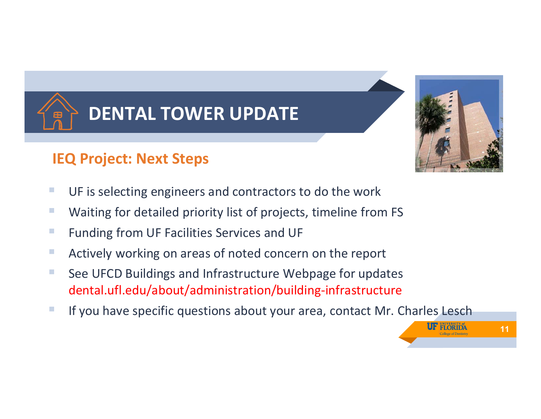

## **IEQ Project: Next Steps**

- **UF is selecting engineers and contractors to do the work**
- Waiting for detailed priority list of projects, timeline from FS
- **Funding from UF Facilities Services and UF**
- **Actively working on areas of noted concern on the report**
- See UFCD Buildings and Infrastructure Webpage for updates dental.ufl.edu/about/administration/building‐infrastructure
- If you have specific questions about your area, contact Mr. Charles Lesch



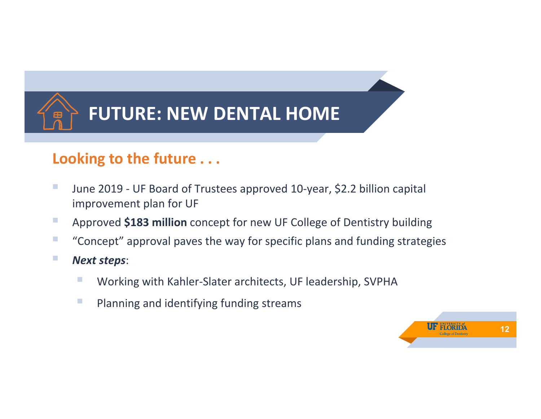

#### **Looking to the future . . .**

- June 2019 UF Board of Trustees approved 10-year, \$2.2 billion capital improvement plan for UF
- **Approved \$183 million** concept for new UF College of Dentistry building
- **T** "Concept" approval paves the way for specific plans and funding strategies
- *Next steps*:
	- Working with Kahler-Slater architects, UF leadership, SVPHA
	- **Planning and identifying funding streams**